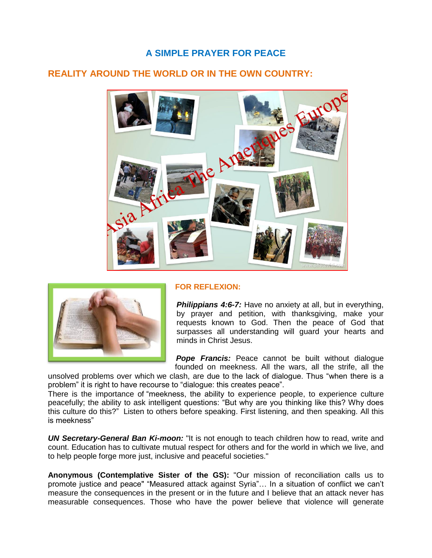# **A SIMPLE PRAYER FOR PEACE**

## **REALITY AROUND THE WORLD OR IN THE OWN COUNTRY:**





### **FOR REFLEXION:**

**Philippians 4:6-7:** Have no anxiety at all, but in everything, by prayer and petition, with thanksgiving, make your requests known to God. Then the peace of God that surpasses all understanding will guard your hearts and minds in Christ Jesus.

**Pope Francis:** Peace cannot be built without dialogue founded on meekness. All the wars, all the strife, all the

unsolved problems over which we clash, are due to the lack of dialogue. Thus "when there is a problem" it is right to have recourse to "dialogue: this creates peace".

There is the importance of "meekness, the ability to experience people, to experience culture peacefully; the ability to ask intelligent questions: "But why are you thinking like this? Why does this culture do this?" Listen to others before speaking. First listening, and then speaking. All this is meekness"

*UN Secretary-General Ban Ki-moon:* "It is not enough to teach children how to read, write and count. Education has to cultivate mutual respect for others and for the world in which we live, and to help people forge more just, inclusive and peaceful societies."

**Anonymous (Contemplative Sister of the GS):** "Our mission of reconciliation calls us to promote justice and peace" "Measured attack against Syria"… In a situation of conflict we can't measure the consequences in the present or in the future and I believe that an attack never has measurable consequences. Those who have the power believe that violence will generate